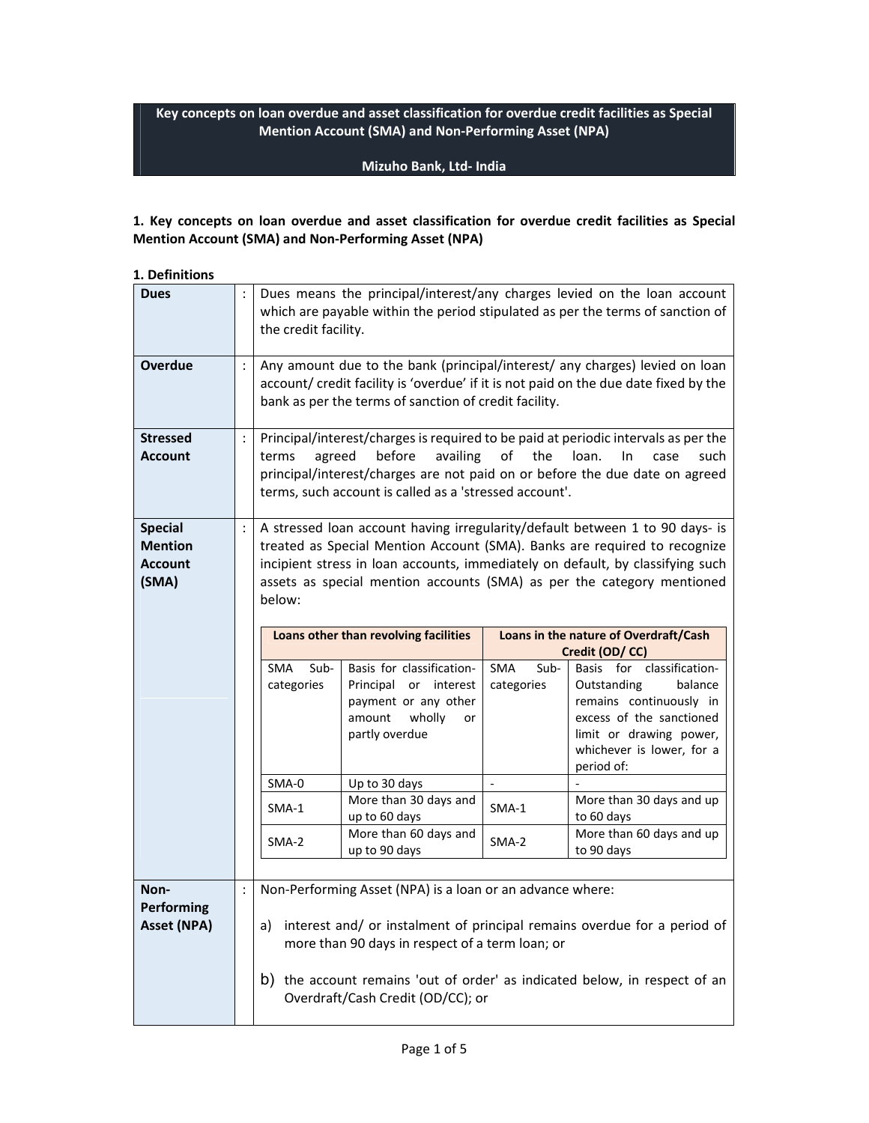**Key concepts on loan overdue and asset classification for overdue credit facilities as Special Mention Account (SMA) and Non-Performing Asset (NPA)** 

### **Mizuho Bank, Ltd- India**

## **1. Key concepts on loan overdue and asset classification for overdue credit facilities as Special Mention Account (SMA) and Non-Performing Asset (NPA)**

**1. Definitions** 

|                      | Dues means the principal/interest/any charges levied on the loan account<br>which are payable within the period stipulated as per the terms of sanction of<br>the credit facility.                                                                                                                                              |                                                                                                                           |                                            |                                                                                                                                                                                                                                             |  |
|----------------------|---------------------------------------------------------------------------------------------------------------------------------------------------------------------------------------------------------------------------------------------------------------------------------------------------------------------------------|---------------------------------------------------------------------------------------------------------------------------|--------------------------------------------|---------------------------------------------------------------------------------------------------------------------------------------------------------------------------------------------------------------------------------------------|--|
|                      | Any amount due to the bank (principal/interest/ any charges) levied on loan<br>account/ credit facility is 'overdue' if it is not paid on the due date fixed by the<br>bank as per the terms of sanction of credit facility.                                                                                                    |                                                                                                                           |                                            |                                                                                                                                                                                                                                             |  |
| ÷                    | Principal/interest/charges is required to be paid at periodic intervals as per the<br>agreed<br>before<br>availing<br>of<br>the<br>terms<br>loan.<br>In<br>case<br>such<br>principal/interest/charges are not paid on or before the due date on agreed<br>terms, such account is called as a 'stressed account'.                |                                                                                                                           |                                            |                                                                                                                                                                                                                                             |  |
| $\ddot{\phantom{a}}$ | A stressed loan account having irregularity/default between 1 to 90 days- is<br>treated as Special Mention Account (SMA). Banks are required to recognize<br>incipient stress in loan accounts, immediately on default, by classifying such<br>assets as special mention accounts (SMA) as per the category mentioned<br>below: |                                                                                                                           |                                            |                                                                                                                                                                                                                                             |  |
|                      | <b>SMA</b><br>Sub-<br>categories                                                                                                                                                                                                                                                                                                | Basis for classification-<br>Principal<br>or interest<br>payment or any other<br>wholly<br>amount<br>or<br>partly overdue | SMA<br>Sub-<br>categories                  | Loans in the nature of Overdraft/Cash<br>Credit (OD/CC)<br>Basis for classification-<br>Outstanding<br>balance<br>remains continuously in<br>excess of the sanctioned<br>limit or drawing power,<br>whichever is lower, for a<br>period of: |  |
|                      | SMA-0<br>SMA-1<br>SMA-2                                                                                                                                                                                                                                                                                                         | Up to 30 days<br>More than 30 days and<br>up to 60 days<br>More than 60 days and<br>up to 90 days                         | $\overline{\phantom{a}}$<br>SMA-1<br>SMA-2 | More than 30 days and up<br>to 60 days<br>More than 60 days and up<br>to 90 days                                                                                                                                                            |  |
| $\ddot{\cdot}$       | Non-Performing Asset (NPA) is a loan or an advance where:<br>interest and/ or instalment of principal remains overdue for a period of<br>a)<br>more than 90 days in respect of a term loan; or<br>b) the account remains 'out of order' as indicated below, in respect of an                                                    |                                                                                                                           |                                            |                                                                                                                                                                                                                                             |  |
|                      |                                                                                                                                                                                                                                                                                                                                 |                                                                                                                           | Loans other than revolving facilities      | Overdraft/Cash Credit (OD/CC); or                                                                                                                                                                                                           |  |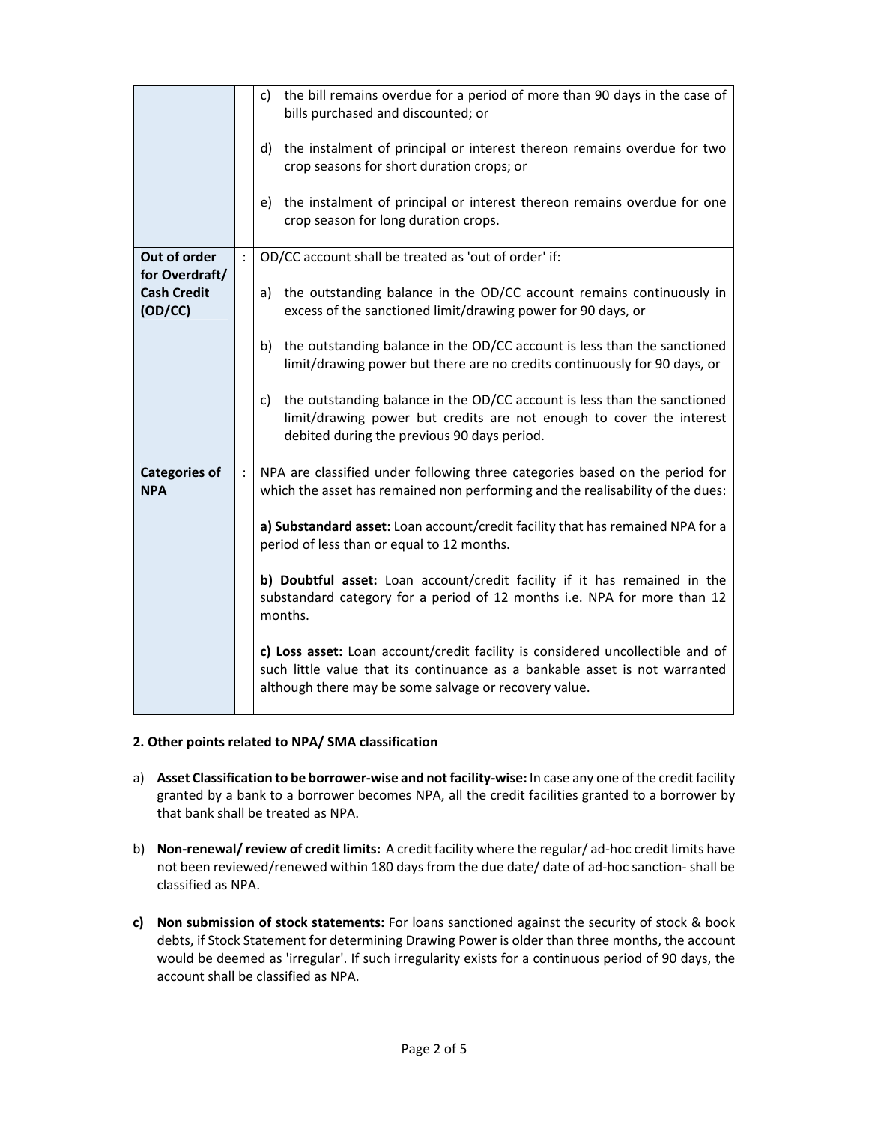|                                                 | c) the bill remains overdue for a period of more than 90 days in the case of<br>bills purchased and discounted; or<br>d) the instalment of principal or interest thereon remains overdue for two<br>crop seasons for short duration crops; or |  |  |
|-------------------------------------------------|-----------------------------------------------------------------------------------------------------------------------------------------------------------------------------------------------------------------------------------------------|--|--|
|                                                 | e) the instalment of principal or interest thereon remains overdue for one<br>crop season for long duration crops.                                                                                                                            |  |  |
| Out of order                                    | OD/CC account shall be treated as 'out of order' if:                                                                                                                                                                                          |  |  |
| for Overdraft/<br><b>Cash Credit</b><br>(OD/CC) | a) the outstanding balance in the OD/CC account remains continuously in<br>excess of the sanctioned limit/drawing power for 90 days, or                                                                                                       |  |  |
|                                                 | the outstanding balance in the OD/CC account is less than the sanctioned<br>b)<br>limit/drawing power but there are no credits continuously for 90 days, or                                                                                   |  |  |
|                                                 | the outstanding balance in the OD/CC account is less than the sanctioned<br>c)<br>limit/drawing power but credits are not enough to cover the interest<br>debited during the previous 90 days period.                                         |  |  |
| <b>Categories of</b><br><b>NPA</b>              | NPA are classified under following three categories based on the period for<br>which the asset has remained non performing and the realisability of the dues:                                                                                 |  |  |
|                                                 | a) Substandard asset: Loan account/credit facility that has remained NPA for a<br>period of less than or equal to 12 months.                                                                                                                  |  |  |
|                                                 | b) Doubtful asset: Loan account/credit facility if it has remained in the<br>substandard category for a period of 12 months i.e. NPA for more than 12<br>months.                                                                              |  |  |
|                                                 | c) Loss asset: Loan account/credit facility is considered uncollectible and of<br>such little value that its continuance as a bankable asset is not warranted<br>although there may be some salvage or recovery value.                        |  |  |

### **2. Other points related to NPA/ SMA classification**

- a) **Asset Classification to be borrower-wise and not facility-wise:** In case any one of the credit facility granted by a bank to a borrower becomes NPA, all the credit facilities granted to a borrower by that bank shall be treated as NPA.
- b) **Non-renewal/ review of credit limits:** A credit facility where the regular/ ad-hoc credit limits have not been reviewed/renewed within 180 days from the due date/ date of ad-hoc sanction- shall be classified as NPA.
- **c) Non submission of stock statements:** For loans sanctioned against the security of stock & book debts, if Stock Statement for determining Drawing Power is older than three months, the account would be deemed as 'irregular'. If such irregularity exists for a continuous period of 90 days, the account shall be classified as NPA.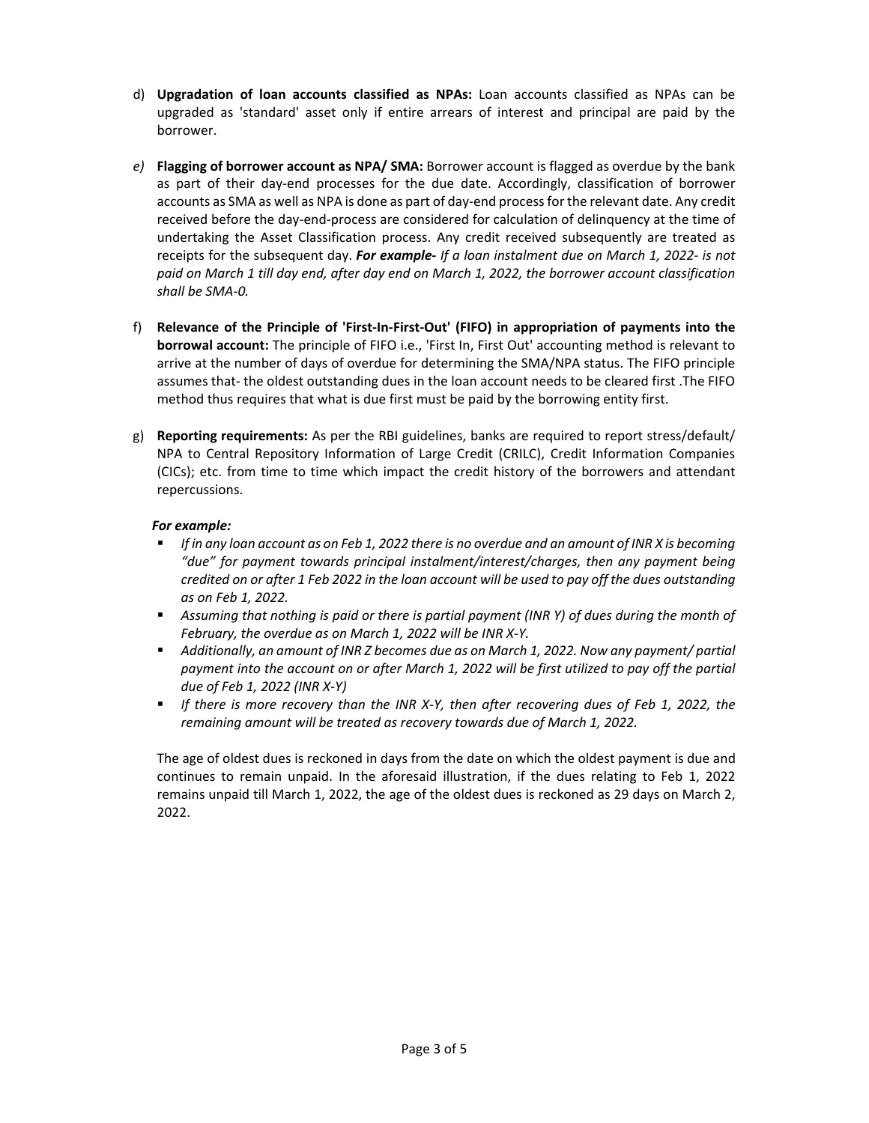- d) **Upgradation of loan accounts classified as NPAs:** Loan accounts classified as NPAs can be upgraded as 'standard' asset only if entire arrears of interest and principal are paid by the borrower.
- *e)* **Flagging of borrower account as NPA/ SMA:** Borrower account is flagged as overdue by the bank as part of their day-end processes for the due date. Accordingly, classification of borrower accounts as SMA as well as NPA is done as part of day-end process for the relevant date. Any credit received before the day-end-process are considered for calculation of delinquency at the time of undertaking the Asset Classification process. Any credit received subsequently are treated as receipts for the subsequent day. *For example- If a loan instalment due on March 1, 2022- is not paid on March 1 till day end, after day end on March 1, 2022, the borrower account classification shall be SMA-0.*
- f) **Relevance of the Principle of 'First-In-First-Out' (FIFO) in appropriation of payments into the borrowal account:** The principle of FIFO i.e., 'First In, First Out' accounting method is relevant to arrive at the number of days of overdue for determining the SMA/NPA status. The FIFO principle assumes that- the oldest outstanding dues in the loan account needs to be cleared first .The FIFO method thus requires that what is due first must be paid by the borrowing entity first.
- g) **Reporting requirements:** As per the RBI guidelines, banks are required to report stress/default/ NPA to Central Repository Information of Large Credit (CRILC), Credit Information Companies (CICs); etc. from time to time which impact the credit history of the borrowers and attendant repercussions.

## *For example:*

- *If in any loan account as on Feb 1, 2022 there is no overdue and an amount of INR X is becoming "due" for payment towards principal instalment/interest/charges, then any payment being credited on or after 1 Feb 2022 in the loan account will be used to pay off the dues outstanding as on Feb 1, 2022.*
- *Assuming that nothing is paid or there is partial payment (INR Y) of dues during the month of February, the overdue as on March 1, 2022 will be INR X-Y.*
- **•** Additionally, an amount of INR Z becomes due as on March 1, 2022. Now any payment/ partial *payment into the account on or after March 1, 2022 will be first utilized to pay off the partial due of Feb 1, 2022 (INR X-Y)*
- *If there is more recovery than the INR X-Y, then after recovering dues of Feb 1, 2022, the remaining amount will be treated as recovery towards due of March 1, 2022.*

The age of oldest dues is reckoned in days from the date on which the oldest payment is due and continues to remain unpaid. In the aforesaid illustration, if the dues relating to Feb 1, 2022 remains unpaid till March 1, 2022, the age of the oldest dues is reckoned as 29 days on March 2, 2022.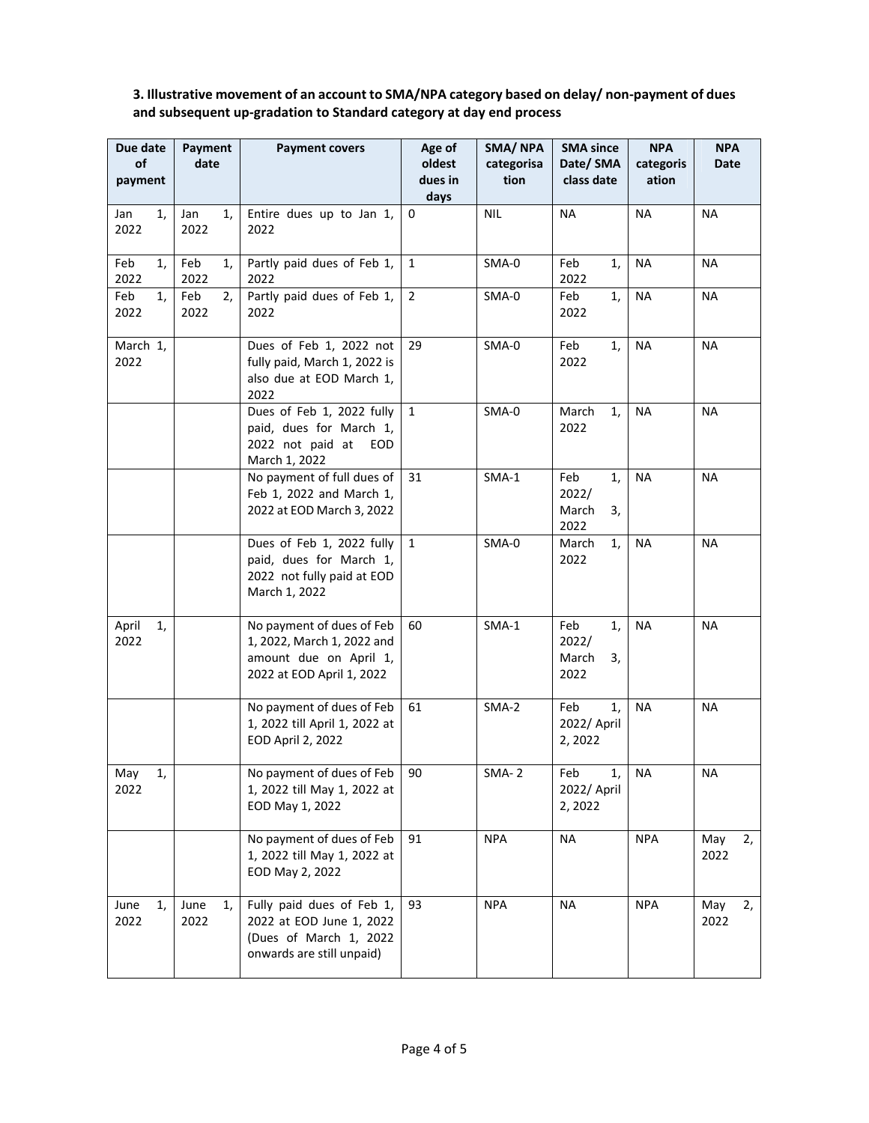# **3. Illustrative movement of an account to SMA/NPA category based on delay/ non-payment of dues and subsequent up-gradation to Standard category at day end process**

| Due date<br>of<br>payment | Payment<br>date    | <b>Payment covers</b>                                                                                          | Age of<br>oldest<br>dues in<br>days | SMA/NPA<br>categorisa<br>tion | <b>SMA since</b><br>Date/ SMA<br>class date | <b>NPA</b><br>categoris<br>ation | <b>NPA</b><br>Date |
|---------------------------|--------------------|----------------------------------------------------------------------------------------------------------------|-------------------------------------|-------------------------------|---------------------------------------------|----------------------------------|--------------------|
| 1,<br>Jan<br>2022         | Jan<br>1,<br>2022  | Entire dues up to Jan 1,<br>2022                                                                               | 0                                   | <b>NIL</b>                    | <b>NA</b>                                   | <b>NA</b>                        | <b>NA</b>          |
| Feb<br>1,<br>2022         | Feb<br>1,<br>2022  | Partly paid dues of Feb 1,<br>2022                                                                             | $\mathbf{1}$                        | SMA-0                         | Feb<br>1,<br>2022                           | <b>NA</b>                        | NA                 |
| Feb<br>1,<br>2022         | Feb<br>2,<br>2022  | Partly paid dues of Feb 1,<br>2022                                                                             | $\overline{2}$                      | SMA-0                         | 1,<br>Feb<br>2022                           | <b>NA</b>                        | <b>NA</b>          |
| March 1,<br>2022          |                    | Dues of Feb 1, 2022 not<br>fully paid, March 1, 2022 is<br>also due at EOD March 1,<br>2022                    | 29                                  | SMA-0                         | Feb<br>1,<br>2022                           | <b>NA</b>                        | NA                 |
|                           |                    | Dues of Feb 1, 2022 fully<br>paid, dues for March 1,<br>2022 not paid at<br>EOD<br>March 1, 2022               | $\mathbf{1}$                        | SMA-0                         | March<br>1,<br>2022                         | <b>NA</b>                        | NA                 |
|                           |                    | No payment of full dues of<br>Feb 1, 2022 and March 1,<br>2022 at EOD March 3, 2022                            | 31                                  | $SMA-1$                       | Feb<br>1,<br>2022/<br>March<br>3,<br>2022   | <b>NA</b>                        | <b>NA</b>          |
|                           |                    | Dues of Feb 1, 2022 fully<br>paid, dues for March 1,<br>2022 not fully paid at EOD<br>March 1, 2022            | $\mathbf{1}$                        | SMA-0                         | March<br>1,<br>2022                         | <b>NA</b>                        | <b>NA</b>          |
| April<br>1,<br>2022       |                    | No payment of dues of Feb<br>1, 2022, March 1, 2022 and<br>amount due on April 1,<br>2022 at EOD April 1, 2022 | 60                                  | $SMA-1$                       | Feb<br>1,<br>2022/<br>March<br>3,<br>2022   | <b>NA</b>                        | NA.                |
|                           |                    | No payment of dues of Feb<br>1, 2022 till April 1, 2022 at<br>EOD April 2, 2022                                | 61                                  | SMA-2                         | Feb<br>1,<br>2022/ April<br>2, 2022         | <b>NA</b>                        | NA                 |
| May<br>1,<br>2022         |                    | No payment of dues of Feb<br>1, 2022 till May 1, 2022 at<br>EOD May 1, 2022                                    | 90                                  | $SMA-2$                       | Feb<br>1,<br>2022/ April<br>2,2022          | <b>NA</b>                        | $\sf NA$           |
|                           |                    | No payment of dues of Feb<br>1, 2022 till May 1, 2022 at<br>EOD May 2, 2022                                    | 91                                  | <b>NPA</b>                    | <b>NA</b>                                   | <b>NPA</b>                       | May<br>2,<br>2022  |
| June<br>1,<br>2022        | June<br>1,<br>2022 | Fully paid dues of Feb 1,<br>2022 at EOD June 1, 2022<br>(Dues of March 1, 2022<br>onwards are still unpaid)   | 93                                  | <b>NPA</b>                    | <b>NA</b>                                   | <b>NPA</b>                       | May<br>2,<br>2022  |